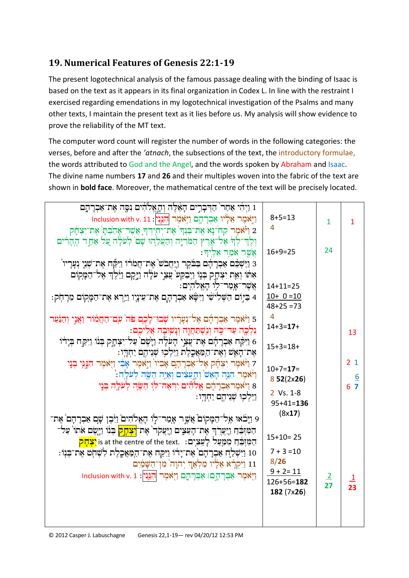## **19. Numerical Features of Genesis 22:1-19**

The present logotechnical analysis of the famous passage dealing with the binding of Isaac is based on the text as it appears in its final organization in Codex L. In line with the restraint I exercised regarding emendations in my logotechnical investigation of the Psalms and many other texts, I maintain the present text as it lies before us. My analysis will show evidence to prove the reliability of the MT text.

The computer word count will register the number of words in the following categories: the verses, before and after the *'atnach*, the subsections of the text, the introductory formulae, the words attributed to God and the Angel, and the words spoken by Abraham and Isaac. The divine name numbers **17** and **26** and their multiples woven into the fabric of the text are shown in **bold face**. Moreover, the mathematical centre of the text will be precisely located.

| 1 וַיְהִי אַחַר` הַדְּבְרֵים הָאֵלֶּה וְהָאֱלֹהִים נִסֶּה אֶת־אַבְרָהֶם                                              |                  |                |                         |
|----------------------------------------------------------------------------------------------------------------------|------------------|----------------|-------------------------|
| וַיַאמֶר אֵלְיו אַבְרָהֶם וַיְאֹמֶר הַגֵּנִין: Inclusion with v. 11                                                  | $8 + 5 = 13$     |                |                         |
| 2 וַי <del>ֹֿאמֶר</del> קַח <sup>ִּ</sup> נָא אֶת־בִּנְךְ אֶת־יְחִיְדְךָ אֲשֶׁר־אָהַבְׁםְ אֶת־יִצְהָק                | -4               | $\overline{1}$ | $\mathbf{1}$            |
|                                                                                                                      |                  |                |                         |
| اٰذَانہے اِنہ ہُجہ اُس اِنہٰدا اُسْتَمَرَیْدا ہُے اِنہٰ کُمیں اُنہیں کی اُنہیں اُس اُنہیں اُنہیں ا                   | $16+9=25$        | 24             |                         |
| צַשֱר אמַר אַלֵיךּ:                                                                                                  |                  |                |                         |
| 3 וַיַּשְׁבֵּם אַבְרָדָם בַּבֹּקֶר וַיָּחֲבֹשׁ` אֶת־חֲמֹרוֹ וַיִּקָּח אֶת־שָׁנֵי נְעָרָיו <sup>י</sup>               |                  |                |                         |
| אִתּוֹ וְאֶת יִצְתָק בְּגָוֹ וַיְבִקַע צֲצֵי עֹלָה וַיֵּקָם וַיֵּׁלֶךְ אֶל־הַמָּקִוֹם                                |                  |                |                         |
| אֲשֶׁר־אָמַר־לִוּ הָאֱלֹהִיִם:                                                                                       | $14 + 11 = 25$   |                |                         |
| 4 ּבִּיָּוֹם הַשְּׁלִישִׁי וַיִּשָּׂא אַּבְרָהָם אֶת־עֵינָיָו וַיַּיְרָא אֶת־הַמָּקִוֹם מֵרָהִק:                     | $10+ 0=10$       |                |                         |
|                                                                                                                      | $48 + 25 = 73$   |                |                         |
| 5 וַיֹּאמֶר אַבְרָהָם אֶל־נְעָרָיו שְׁבוּ־לָכֶם פֹּה ׁעִם־הַחֲמֹוֹר וַאֲנֵי וְהַנַּּעַר                              | $\overline{4}$   |                |                         |
| ּנִלְכֶה עַד־כִּה וְנִשְׁתַּחֲוֶה וְנָשְׁוּבָה אֲלֵיכֶם:                                                             | $14 + 3 = 17 +$  |                | 13                      |
| 6 וַיִּקַּח אַבְרָדָם אֶת־עֲצֵי הָעֹלָה וַיָּשֶׁם עַל־יִצְחֲק בְּנוֹ וַיִּקַח בְּיָדוֹ                               |                  |                |                         |
| אֶת־הָאֵשׁ וְאֶת־הַמַּאֲכֶלֶת וַיֵּלְכִוּ שְׁנֵיהֶם יַחְדְוִי                                                        | $15+3=18+$       |                |                         |
| ַד וַיֹּאמֶר יִצְחָק אֶל־אַבְרָהָם אָבִיוֹ וַיַּאמֶר אָבִי וַיִּאמֶר הִגְּוִי בְנֵי                                  |                  |                | 2 <sub>1</sub>          |
| וַיֹּאמֶר הִגְּה הָאֵשׁ וְהָעֲצִים וְאַיֶּה הַשֶּׂה לְעֹלְה:`                                                        | $10+7=17=$       |                |                         |
| 8 וַיֹּאמֶראַבְרָדָם אֱלֹהִים יִרְאֶה־לּוָ הַשֶּׂה לְעֹלָה בְּנֵי                                                    | 852(2x26)        |                | $\frac{6}{6}$           |
| ַיִּיִלְכִוּ שְׁנִיהֶם יַחְדְוּ:                                                                                     | 2 Vs. 1-8        |                |                         |
|                                                                                                                      | $95 + 41 = 136$  |                |                         |
|                                                                                                                      | (8x17)           |                |                         |
| 9 נַיְבֹאוּ אֶל־הַמָּקוֹם אֲשֶׁר אָמַר־לַוֹ הָאֱלֹהִים וַיִּבֶן שָׁם אַבְרָהָם אֶת־                                  |                  |                |                         |
| הַמִּזְבֵּהַ וַיְּצֻרְךָ אֶת־הָעֵצִים וַיִּצְקְר <sup>י</sup> אֶת־ <mark>וִצְהָק</mark> בְּנוֹ וַיְיָשֶׂם אֹתוֹ עַל־ | $15+10=25$       |                |                         |
| הַמִּזְבֵּהַ מִמַּעַל לְעֵצִיֽם: .is at the centre of the text <mark>יִצְהָק</mark>                                  |                  |                |                         |
| 10 וַיִּשְׁלַחָ אַבְרָהָם אֶת־יָרוֹ וַיִּקַח אֶת־הַמַּאֲכֶלֶת לִשְׁחָֹט אֶת־בְּנְוֹ:                                 | $7 + 3 = 10$     |                |                         |
| 11 וַיִּקְרָ֫א אֵלְיו מַלְאַדְ יְהוָה מִן־הַשָּׁמַׂיִם                                                               | 8/26             |                |                         |
| וַיְאֹמֶר אַבְרָהְםוּ אַבְרְהֶם וַיְאֹמֶר הְגֵּנִין: 1. Inclusion with v                                             | $9 + 2 = 11$     | $\frac{2}{27}$ | $\overline{\mathbf{1}}$ |
|                                                                                                                      | $126 + 56 = 182$ |                | 23                      |
|                                                                                                                      | 182 (7x26)       |                |                         |
|                                                                                                                      |                  |                |                         |
|                                                                                                                      |                  |                |                         |
|                                                                                                                      |                  |                |                         |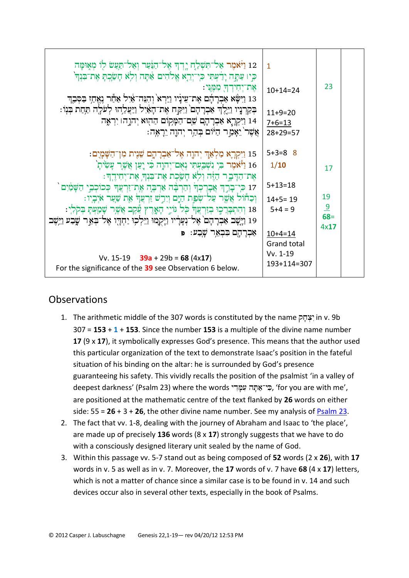| 12 וַיֹּאמֶר אַל־תִּשְׁלַחְ יָדְךָ אֶל־הַנַּּעַר וְאַל־תַעַשׂ לְוֹ מְאִוּמָה<br>כִּיו עַתֲה יָדִ֫עְתִי כִּי־יְרֵאָ אֱלֹהִים אַתְּה וְלִא חָשֲׂכֶתָ אֶת־בִּנְדִּ`<br>אֶת־יְחִידְךָ מִמֶּנִי:<br>13 וַיִּשָּׂא אַבְרָדָם אֶת־עִינְיו וַיַּרְא וְהִנֵּה־אַיִל אַחַר נָאֱחָז בַּסְּבֵךְ<br>בְקַרְנָיו וַיֵּלֶךְ אַבְרָהָם וַיִּקַח אֶת־הָאַיִל וַיַּעֲלֵהוּ לְעֹלֶה תַּחַת בְּנִוֹ:<br>14 וַיִּקְרֶא אַבְרָדְםָ שֵׁם־הַמָּקוֹם הַהָוּא יְהֹוֵהו יִרְאֶה<br>אֲשֶׁר`יֵאָמֶר הַיּׂוֹם בְּהַר יְהוֶה יֵרְאֶה:                                                                                                                                                                                                                  | $\mathbf{1}$<br>$10+14=24$<br>$11+9=20$<br>$7+6=13$<br>$28+29=57$                                                 | 23                                 |  |
|------------------------------------------------------------------------------------------------------------------------------------------------------------------------------------------------------------------------------------------------------------------------------------------------------------------------------------------------------------------------------------------------------------------------------------------------------------------------------------------------------------------------------------------------------------------------------------------------------------------------------------------------------------------------------------------------------------------------|-------------------------------------------------------------------------------------------------------------------|------------------------------------|--|
| 15 וַיִּקְרֶא מַלְאַךְ יְהוֶה אֶל־אַבְרָהֶם שֵׁנֶית מִן־הַשָּׁמְיִם:<br>16 וַיְּאמֶר בִּי נִשְׁבֵעְתִי נְאָם־יְהוֶה כִּי יָעַן אֲשֶׁרָ עָשִׂיתָ`<br>אַת־הַדָּבָר הַזֶּה וְלִא חָשָׂכְת אֶת־בִּנְךְ אֶת־יְחִידֶךְ<br>17 קּי־בְרֵךְ אֲבְרֶכְךְ וְהַרְבָּה אַרְבֶּה אֶת־זַרְצָךְ כְּכוֹכְבֵי הַשָּׁמַיִם `<br>וְכַחוֹל אֲשֶׁר עַל־שָׂפָת הַיֶּם וְיִרָשׁ זַרְעֲדֹ אֶת שַׁעַר אֹיְבְיו:<br>18 וְהִתְבְּרֵכִוּ בְזַרְעֲדֹּ כָּל וּוֹיָי הָאֱרֶץ עֵכֶּבְ אֲשֶׁר שָׁמַעְתָּ בְּקֹלִי:<br>19 וַיֶּשֶׁב אַבְרָהָם אֶל־נְעָרָיו וַיְקָמוּ וַיֵּלְכְוּ יַחְדָו אֶל־בְאֵר שָׁבַע וַיֵּשֶׁב<br>אַבְרָהֶם בִּבְאֶר שֶׁבַע: פּ<br>Vv. 15-19 $39a + 29b = 68 (4 \times 17)$<br>For the significance of the 39 see Observation 6 below. | $5+3=8$ 8<br>1/10<br>$5 + 13 = 18$<br>$14+5=19$<br>$5+4=9$<br>$10+4=14$<br>Grand total<br>Vv. 1-19<br>193+114=307 | 17<br>19<br>$\frac{9}{68}$<br>4x17 |  |

## **Observations**

- 1. The arithmetic middle of the 307 words is constituted by the name יָצְהַקְ 307 = **153** + **1** + **153**. Since the number **153** is a multiple of the divine name number **17** (9 x **17**), it symbolically expresses God's presence. This means that the author used this particular organization of the text to demonstrate Isaac's position in the fateful situation of his binding on the altar: he is surrounded by God's presence guaranteeing his safety. This vividly recalls the position of the psalmist 'in a valley of deepest darkness' (Psalm 23) where the words בי־אֲתָּה עְמֵדִי, 'for you are with me', are positioned at the mathematic centre of the text flanked by **26** words on either side:  $55 = 26 + 3 + 26$ , the other divine name number. See my analysis of [Psalm 23.](http://www.labuschagne.nl/ps023.pdf)
- 2. The fact that vv. 1-8, dealing with the journey of Abraham and Isaac to 'the place', are made up of precisely **136** words (8 x **17**) strongly suggests that we have to do with a consciously designed literary unit sealed by the name of God.
- 3. Within this passage vv. 5-7 stand out as being composed of **52** words (2 x **26**), with **17** words in v. 5 as well as in v. 7. Moreover, the **17** words of v. 7 have **68** (4 x **17**) letters, which is not a matter of chance since a similar case is to be found in v. 14 and such devices occur also in several other texts, especially in the book of Psalms.